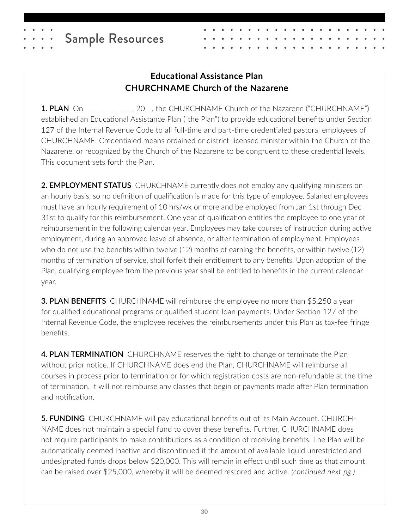# **Educational Assistance Plan CHURCHNAME Church of the Nazarene**

**1. PLAN** On \_\_\_\_\_\_\_\_\_\_\_\_\_, 20\_\_, the CHURCHNAME Church of the Nazarene ("CHURCHNAME") established an Educational Assistance Plan ("the Plan") to provide educational benefits under Section 127 of the Internal Revenue Code to all full-time and part-time credentialed pastoral employees of CHURCHNAME. Credentialed means ordained or district-licensed minister within the Church of the Nazarene, or recognized by the Church of the Nazarene to be congruent to these credential levels. This document sets forth the Plan.

**2. EMPLOYMENT STATUS** CHURCHNAME currently does not employ any qualifying ministers on an hourly basis, so no definition of qualification is made for this type of employee. Salaried employees must have an hourly requirement of 10 hrs/wk or more and be employed from Jan 1st through Dec 31st to qualify for this reimbursement. One year of qualification entitles the employee to one year of reimbursement in the following calendar year. Employees may take courses of instruction during active employment, during an approved leave of absence, or after termination of employment. Employees who do not use the benefits within twelve (12) months of earning the benefits, or within twelve (12) months of termination of service, shall forfeit their entitlement to any benefits. Upon adoption of the Plan, qualifying employee from the previous year shall be entitled to benefits in the current calendar year.

**3. PLAN BENEFITS** CHURCHNAME will reimburse the employee no more than \$5,250 a year for qualified educational programs or qualified student loan payments. Under Section 127 of the Internal Revenue Code, the employee receives the reimbursements under this Plan as tax-fee fringe benefits.

**4. PLAN TERMINATION** CHURCHNAME reserves the right to change or terminate the Plan without prior notice. If CHURCHNAME does end the Plan, CHURCHNAME will reimburse all courses in process prior to termination or for which registration costs are non-refundable at the time of termination. It will not reimburse any classes that begin or payments made after Plan termination and notification.

**5. FUNDING** CHURCHNAME will pay educational benefits out of its Main Account. CHURCH-NAME does not maintain a special fund to cover these benefits. Further, CHURCHNAME does not require participants to make contributions as a condition of receiving benefits. The Plan will be automatically deemed inactive and discontinued if the amount of available liquid unrestricted and undesignated funds drops below \$20,000. This will remain in effect until such time as that amount can be raised over \$25,000, whereby it will be deemed restored and active. *(continued next pg.)*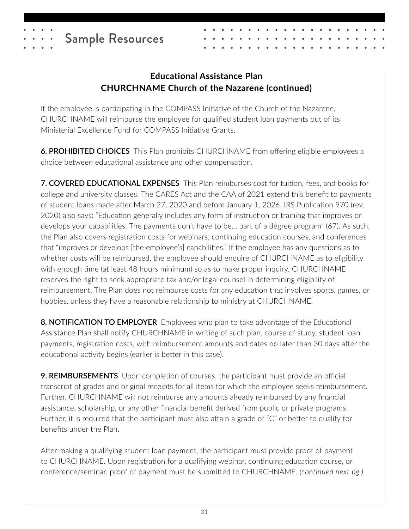# **Educational Assistance Plan CHURCHNAME Church of the Nazarene (continued)**

If the employee is participating in the COMPASS Initiative of the Church of the Nazarene, CHURCHNAME will reimburse the employee for qualified student loan payments out of its Ministerial Excellence Fund for COMPASS Initiative Grants.

**6. PROHIBITED CHOICES** This Plan prohibits CHURCHNAME from offering eligible employees a choice between educational assistance and other compensation.

**7. COVERED EDUCATIONAL EXPENSES** This Plan reimburses cost for tuition, fees, and books for college and university classes. The CARES Act and the CAA of 2021 extend this benefit to payments of student loans made after March 27, 2020 and before January 1, 2026. IRS Publication 970 (rev. 2020) also says: "Education generally includes any form of instruction or training that improves or develops your capabilities. The payments don't have to be… part of a degree program" (67). As such, the Plan also covers registration costs for webinars, continuing education courses, and conferences that "improves or develops [the employee's] capabilities." If the employee has any questions as to whether costs will be reimbursed, the employee should enquire of CHURCHNAME as to eligibility with enough time (at least 48 hours minimum) so as to make proper inquiry. CHURCHNAME reserves the right to seek appropriate tax and/or legal counsel in determining eligibility of reimbursement. The Plan does not reimburse costs for any education that involves sports, games, or hobbies, unless they have a reasonable relationship to ministry at CHURCHNAME.

**8. NOTIFICATION TO EMPLOYER** Employees who plan to take advantage of the Educational Assistance Plan shall notify CHURCHNAME in writing of such plan, course of study, student loan payments, registration costs, with reimbursement amounts and dates no later than 30 days after the educational activity begins (earlier is better in this case).

**9. REIMBURSEMENTS** Upon completion of courses, the participant must provide an official transcript of grades and original receipts for all items for which the employee seeks reimbursement. Further, CHURCHNAME will not reimburse any amounts already reimbursed by any financial assistance, scholarship, or any other financial benefit derived from public or private programs. Further, it is required that the participant must also attain a grade of "C" or better to qualify for benefits under the Plan.

After making a qualifying student loan payment, the participant must provide proof of payment to CHURCHNAME. Upon registration for a qualifying webinar, continuing education course, or conference/seminar, proof of payment must be submitted to CHURCHNAME. *(continued next pg.)*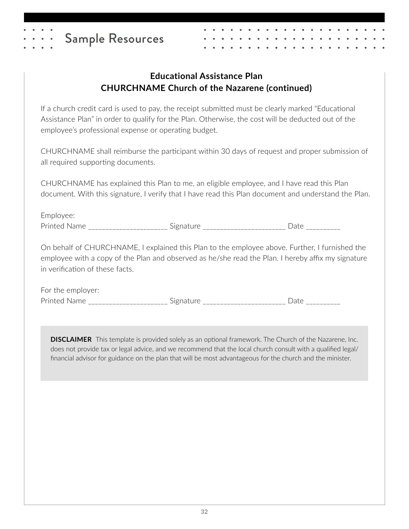## **Educational Assistance Plan CHURCHNAME Church of the Nazarene (continued)**

If a church credit card is used to pay, the receipt submitted must be clearly marked "Educational Assistance Plan" in order to qualify for the Plan. Otherwise, the cost will be deducted out of the employee's professional expense or operating budget.

CHURCHNAME shall reimburse the participant within 30 days of request and proper submission of all required supporting documents.

CHURCHNAME has explained this Plan to me, an eligible employee, and I have read this Plan document. With this signature, I verify that I have read this Plan document and understand the Plan.

Employee: Printed Name \_\_\_\_\_\_\_\_\_\_\_\_\_\_\_\_\_\_\_\_\_\_\_ Signature \_\_\_\_\_\_\_\_\_\_\_\_\_\_\_\_\_\_\_\_\_\_\_\_\_\_\_ Date \_\_\_\_\_\_\_\_\_\_\_

On behalf of CHURCHNAME, I explained this Plan to the employee above. Further, I furnished the employee with a copy of the Plan and observed as he/she read the Plan. I hereby affix my signature in verification of these facts.

For the employer: Printed Name \_\_\_\_\_\_\_\_\_\_\_\_\_\_\_\_\_\_\_\_\_\_\_\_\_\_\_ Signature \_\_\_\_\_\_\_\_\_\_\_\_\_\_\_\_\_\_\_\_\_\_\_\_\_\_\_\_\_ Date \_\_\_\_\_\_\_\_\_\_\_\_\_

**DISCLAIMER** This template is provided solely as an optional framework. The Church of the Nazarene, Inc. does not provide tax or legal advice, and we recommend that the local church consult with a qualified legal/ financial advisor for guidance on the plan that will be most advantageous for the church and the minister.